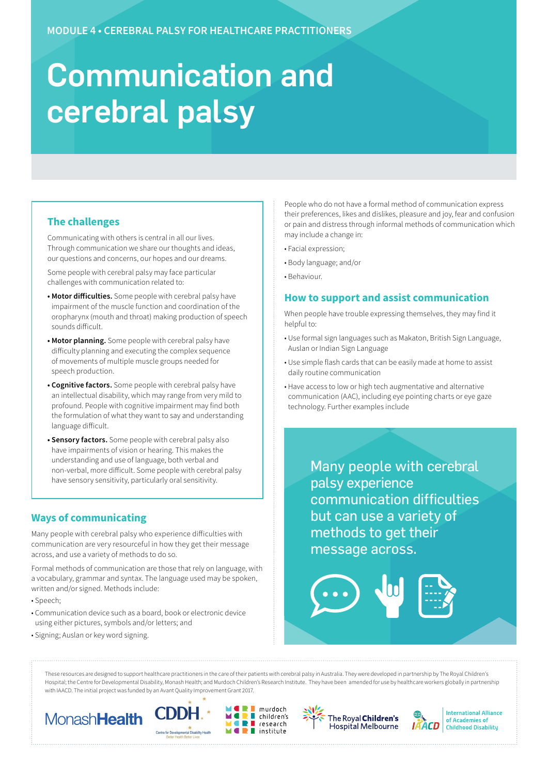# Communication and cerebral palsy

# **The challenges**

Communicating with others is central in all our lives. Through communication we share our thoughts and ideas, our questions and concerns, our hopes and our dreams.

Some people with cerebral palsy may face particular challenges with communication related to:

- **Motor difficulties.** Some people with cerebral palsy have impairment of the muscle function and coordination of the oropharynx (mouth and throat) making production of speech sounds difficult.
- **Motor planning.** Some people with cerebral palsy have difficulty planning and executing the complex sequence of movements of multiple muscle groups needed for speech production.
- **Cognitive factors.** Some people with cerebral palsy have an intellectual disability, which may range from very mild to profound. People with cognitive impairment may find both the formulation of what they want to say and understanding language difficult.
- **Sensory factors.** Some people with cerebral palsy also have impairments of vision or hearing. This makes the understanding and use of language, both verbal and non-verbal, more difficult. Some people with cerebral palsy have sensory sensitivity, particularly oral sensitivity.

# **Ways of communicating**

Many people with cerebral palsy who experience difficulties with communication are very resourceful in how they get their message across, and use a variety of methods to do so.

Formal methods of communication are those that rely on language, with a vocabulary, grammar and syntax. The language used may be spoken, written and/or signed. Methods include:

- Speech;
- Communication device such as a board, book or electronic device using either pictures, symbols and/or letters; and
- Signing; Auslan or key word signing.

People who do not have a formal method of communication express their preferences, likes and dislikes, pleasure and joy, fear and confusion or pain and distress through informal methods of communication which may include a change in:

- Facial expression;
- Body language; and/or
- Behaviour.

## **How to support and assist communication**

When people have trouble expressing themselves, they may find it helpful to:

- Use formal sign languages such as Makaton, British Sign Language, Auslan or Indian Sign Language
- Use simple flash cards that can be easily made at home to assist daily routine communication
- Have access to low or high tech augmentative and alternative communication (AAC), including eye pointing charts or eye gaze technology. Further examples include

Many people with cerebral palsy experience communication difficulties but can use a variety of methods to get their message across.

These resources are designed to support healthcare practitioners in the care of their patients with cerebral palsy in Australia. They were developed in partnership by The Royal Children's Hospital; the Centre for Developmental Disability, Monash Health; and Murdoch Children's Research Institute. They have been amended for use by healthcare workers globally in partnership with IAACD. The initial project was funded by an Avant Quality Improvement Grant 2017.

Ξ









**International Alliance** of Academies of **Childhood Disability**